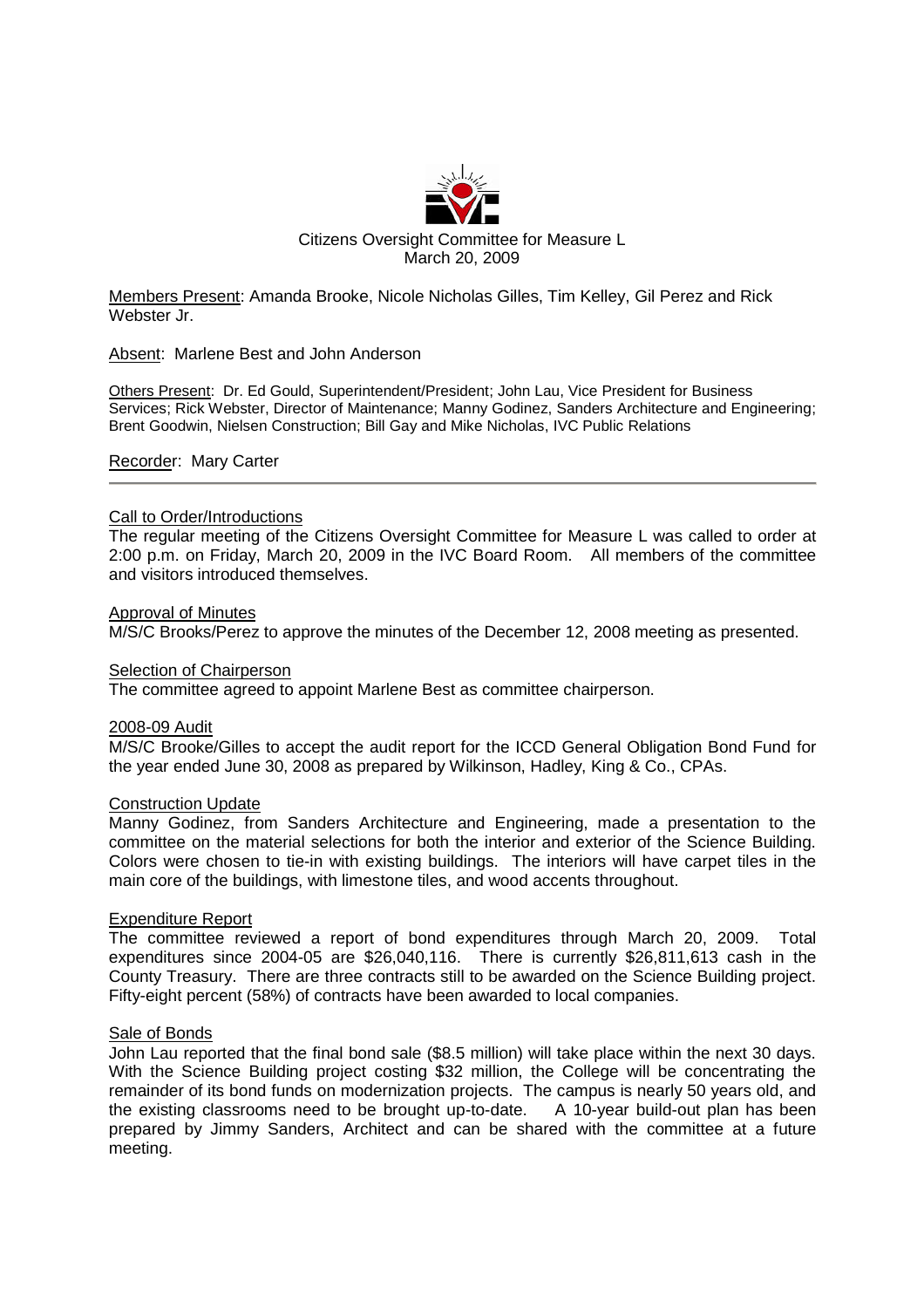

Members Present: Amanda Brooke, Nicole Nicholas Gilles, Tim Kelley, Gil Perez and Rick Webster Jr.

Absent: Marlene Best and John Anderson

Others Present: Dr. Ed Gould, Superintendent/President; John Lau, Vice President for Business Services; Rick Webster, Director of Maintenance; Manny Godinez, Sanders Architecture and Engineering; Brent Goodwin, Nielsen Construction; Bill Gay and Mike Nicholas, IVC Public Relations

Recorder: Mary Carter

### Call to Order/Introductions

The regular meeting of the Citizens Oversight Committee for Measure L was called to order at 2:00 p.m. on Friday, March 20, 2009 in the IVC Board Room. All members of the committee and visitors introduced themselves.

### Approval of Minutes

M/S/C Brooks/Perez to approve the minutes of the December 12, 2008 meeting as presented.

### Selection of Chairperson

The committee agreed to appoint Marlene Best as committee chairperson.

### 2008-09 Audit

M/S/C Brooke/Gilles to accept the audit report for the ICCD General Obligation Bond Fund for the year ended June 30, 2008 as prepared by Wilkinson, Hadley, King & Co., CPAs.

### Construction Update

Manny Godinez, from Sanders Architecture and Engineering, made a presentation to the committee on the material selections for both the interior and exterior of the Science Building. Colors were chosen to tie-in with existing buildings. The interiors will have carpet tiles in the main core of the buildings, with limestone tiles, and wood accents throughout.

# Expenditure Report

The committee reviewed a report of bond expenditures through March 20, 2009. Total expenditures since 2004-05 are \$26,040,116. There is currently \$26,811,613 cash in the County Treasury. There are three contracts still to be awarded on the Science Building project. Fifty-eight percent (58%) of contracts have been awarded to local companies.

# Sale of Bonds

John Lau reported that the final bond sale (\$8.5 million) will take place within the next 30 days. With the Science Building project costing \$32 million, the College will be concentrating the remainder of its bond funds on modernization projects. The campus is nearly 50 years old, and the existing classrooms need to be brought up-to-date. A 10-year build-out plan has been prepared by Jimmy Sanders, Architect and can be shared with the committee at a future meeting.